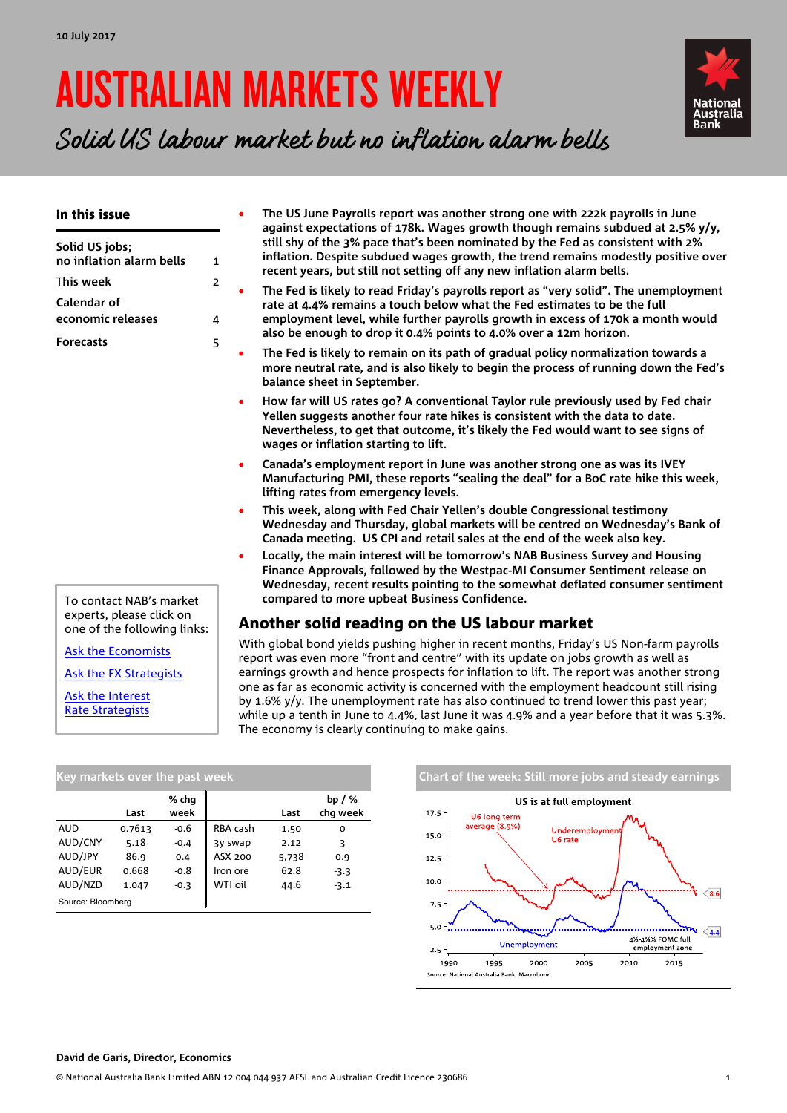# AUSTRALIAN MARKETS WEEKLY



Solid US labour market but no inflation alarm bells

| In this issue<br>Solid US jobs;<br>no inflation alarm bells<br>This week<br>Calendar of<br>economic releases | $\mathbf{1}$<br>$\overline{2}$<br>4 | The US June Payrolls report was another strong one with 222k payrolls in June<br>against expectations of 178k. Wages growth though remains subdued at 2.5% y/y,<br>still shy of the 3% pace that's been nominated by the Fed as consistent with 2%<br>inflation. Despite subdued wages growth, the trend remains modestly positive over<br>recent years, but still not setting off any new inflation alarm bells.<br>The Fed is likely to read Friday's payrolls report as "very solid". The unemployment<br>rate at 4.4% remains a touch below what the Fed estimates to be the full<br>employment level, while further payrolls growth in excess of 170k a month would<br>also be enough to drop it 0.4% points to 4.0% over a 12m horizon. |  |  |  |  |  |  |  |
|--------------------------------------------------------------------------------------------------------------|-------------------------------------|-----------------------------------------------------------------------------------------------------------------------------------------------------------------------------------------------------------------------------------------------------------------------------------------------------------------------------------------------------------------------------------------------------------------------------------------------------------------------------------------------------------------------------------------------------------------------------------------------------------------------------------------------------------------------------------------------------------------------------------------------|--|--|--|--|--|--|--|
| <b>Forecasts</b>                                                                                             | 5                                   | The Fed is likely to remain on its path of gradual policy normalization towards a<br>more neutral rate, and is also likely to begin the process of running down the Fed's<br>balance sheet in September.                                                                                                                                                                                                                                                                                                                                                                                                                                                                                                                                      |  |  |  |  |  |  |  |
|                                                                                                              |                                     | How far will US rates go? A conventional Taylor rule previously used by Fed chair<br>$\bullet$<br>Yellen suggests another four rate hikes is consistent with the data to date.<br>Nevertheless, to get that outcome, it's likely the Fed would want to see signs of<br>wages or inflation starting to lift.                                                                                                                                                                                                                                                                                                                                                                                                                                   |  |  |  |  |  |  |  |
|                                                                                                              |                                     | Canada's employment report in June was another strong one as was its IVEY<br>$\bullet$<br>Manufacturing PMI, these reports "sealing the deal" for a BoC rate hike this week,<br>lifting rates from emergency levels.                                                                                                                                                                                                                                                                                                                                                                                                                                                                                                                          |  |  |  |  |  |  |  |
|                                                                                                              |                                     | This week, along with Fed Chair Yellen's double Congressional testimony<br>$\bullet$<br>Wednesday and Thursday, global markets will be centred on Wednesday's Bank of<br>Canada meeting. US CPI and retail sales at the end of the week also key.                                                                                                                                                                                                                                                                                                                                                                                                                                                                                             |  |  |  |  |  |  |  |
|                                                                                                              |                                     | Locally, the main interest will be tomorrow's NAB Business Survey and Housing<br>Finance Approvals, followed by the Westpac-MI Consumer Sentiment release on<br>Wednesday, recent results pointing to the somewhat deflated consumer sentiment                                                                                                                                                                                                                                                                                                                                                                                                                                                                                                |  |  |  |  |  |  |  |
| To contact NAB's market<br>experts, please click on                                                          |                                     | compared to more upbeat Business Confidence.                                                                                                                                                                                                                                                                                                                                                                                                                                                                                                                                                                                                                                                                                                  |  |  |  |  |  |  |  |
| one of the following links:                                                                                  |                                     | Another solid reading on the US labour market                                                                                                                                                                                                                                                                                                                                                                                                                                                                                                                                                                                                                                                                                                 |  |  |  |  |  |  |  |
| <b>Ask the Economists</b>                                                                                    |                                     | With global bond yields pushing higher in recent months, Friday's US Non-farm payrolls<br>report was even more "front and centre" with its update on jobs growth as well as                                                                                                                                                                                                                                                                                                                                                                                                                                                                                                                                                                   |  |  |  |  |  |  |  |
| Ask the FX Strategists                                                                                       |                                     | earnings growth and hence prospects for inflation to lift. The report was another strong                                                                                                                                                                                                                                                                                                                                                                                                                                                                                                                                                                                                                                                      |  |  |  |  |  |  |  |
| <b>Ask the Interest</b><br><b>Rate Strategists</b>                                                           |                                     | one as far as economic activity is concerned with the employment headcount still rising<br>by 1.6% $y/y$ . The unemployment rate has also continued to trend lower this past year;<br>while up a tenth in June to 4.4%, last June it was 4.9% and a year before that it was 5.3%.<br>The economy is clearly continuing to make gains.                                                                                                                                                                                                                                                                                                                                                                                                         |  |  |  |  |  |  |  |

| INEY IIIdINELS OVEI THE DAST WEEN |        |               |          |       |                      |
|-----------------------------------|--------|---------------|----------|-------|----------------------|
|                                   | Last   | % chq<br>week |          | Last  | bp $/$ %<br>chq week |
| AUD                               | 0.7613 | $-0.6$        | RBA cash | 1.50  | O                    |
| AUD/CNY                           | 5.18   | $-0.4$        | 3y swap  | 2.12  | 3                    |
| AUD/JPY                           | 86.9   | 0.4           | ASX 200  | 5,738 | 0.9                  |
| AUD/EUR                           | 0.668  | $-0.8$        | Iron ore | 62.8  | $-3.3$               |
| AUD/NZD                           | 1.047  | $-0.3$        | WTI oil  | 44.6  | $-3.1$               |
| Source: Bloomberg                 |        |               |          |       |                      |

#### **Chart of the week: Still more jobs and steady earnings** US is at full employment 17.5 U6 long term average (8.9%) Underemploym 15.0 U6 rate  $12.5$  $10.0$  $\left\langle 8.6\right\rangle$  $7.5$  $5.0$  $\sum_{4.4}$ بتنتيها /.......... 4½ 4%% FOMC full Unemployment employment zone  $2.5$ 1990 1995 2000 2005 2010 2015 Source: National Australia Bank, Macrobond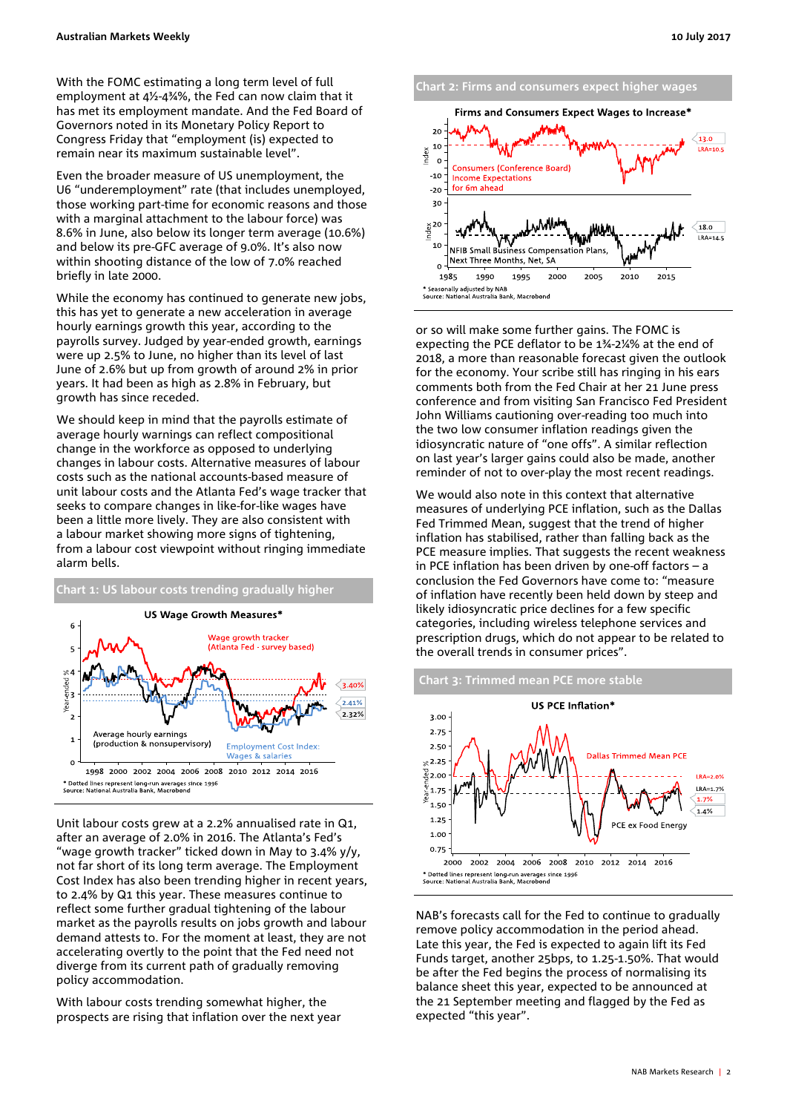With the FOMC estimating a long term level of full employment at 4½-4¾%, the Fed can now claim that it has met its employment mandate. And the Fed Board of Governors noted in its Monetary Policy Report to Congress Friday that "employment (is) expected to remain near its maximum sustainable level".

Even the broader measure of US unemployment, the U6 "underemployment" rate (that includes unemployed, those working part-time for economic reasons and those with a marginal attachment to the labour force) was 8.6% in June, also below its longer term average (10.6%) and below its pre-GFC average of 9.0%. It's also now within shooting distance of the low of 7.0% reached briefly in late 2000.

While the economy has continued to generate new jobs, this has yet to generate a new acceleration in average hourly earnings growth this year, according to the payrolls survey. Judged by year-ended growth, earnings were up 2.5% to June, no higher than its level of last June of 2.6% but up from growth of around 2% in prior years. It had been as high as 2.8% in February, but growth has since receded.

We should keep in mind that the payrolls estimate of average hourly warnings can reflect compositional change in the workforce as opposed to underlying changes in labour costs. Alternative measures of labour costs such as the national accounts-based measure of unit labour costs and the Atlanta Fed's wage tracker that seeks to compare changes in like-for-like wages have been a little more lively. They are also consistent with a labour market showing more signs of tightening. from a labour cost viewpoint without ringing immediate alarm bells.



Unit labour costs grew at a 2.2% annualised rate in Q1, after an average of 2.0% in 2016. The Atlanta's Fed's "wage growth tracker" ticked down in May to 3.4% y/y, not far short of its long term average. The Employment Cost Index has also been trending higher in recent years, to 2.4% by Q1 this year. These measures continue to reflect some further gradual tightening of the labour market as the payrolls results on jobs growth and labour demand attests to. For the moment at least, they are not accelerating overtly to the point that the Fed need not diverge from its current path of gradually removing policy accommodation.

With labour costs trending somewhat higher, the prospects are rising that inflation over the next year



or so will make some further gains. The FOMC is expecting the PCE deflator to be 1¾-2¼% at the end of 2018, a more than reasonable forecast given the outlook for the economy. Your scribe still has ringing in his ears comments both from the Fed Chair at her 21 June press conference and from visiting San Francisco Fed President John Williams cautioning over-reading too much into the two low consumer inflation readings given the idiosyncratic nature of "one offs". A similar reflection on last year's larger gains could also be made, another reminder of not to over-play the most recent readings.

We would also note in this context that alternative measures of underlying PCE inflation, such as the Dallas Fed Trimmed Mean, suggest that the trend of higher inflation has stabilised, rather than falling back as the PCE measure implies. That suggests the recent weakness in PCE inflation has been driven by one-off factors – a conclusion the Fed Governors have come to: "measure of inflation have recently been held down by steep and likely idiosyncratic price declines for a few specific categories, including wireless telephone services and prescription drugs, which do not appear to be related to the overall trends in consumer prices".



NAB's forecasts call for the Fed to continue to gradually remove policy accommodation in the period ahead. Late this year, the Fed is expected to again lift its Fed Funds target, another 25bps, to 1.25-1.50%. That would be after the Fed begins the process of normalising its balance sheet this year, expected to be announced at the 21 September meeting and flagged by the Fed as expected "this year".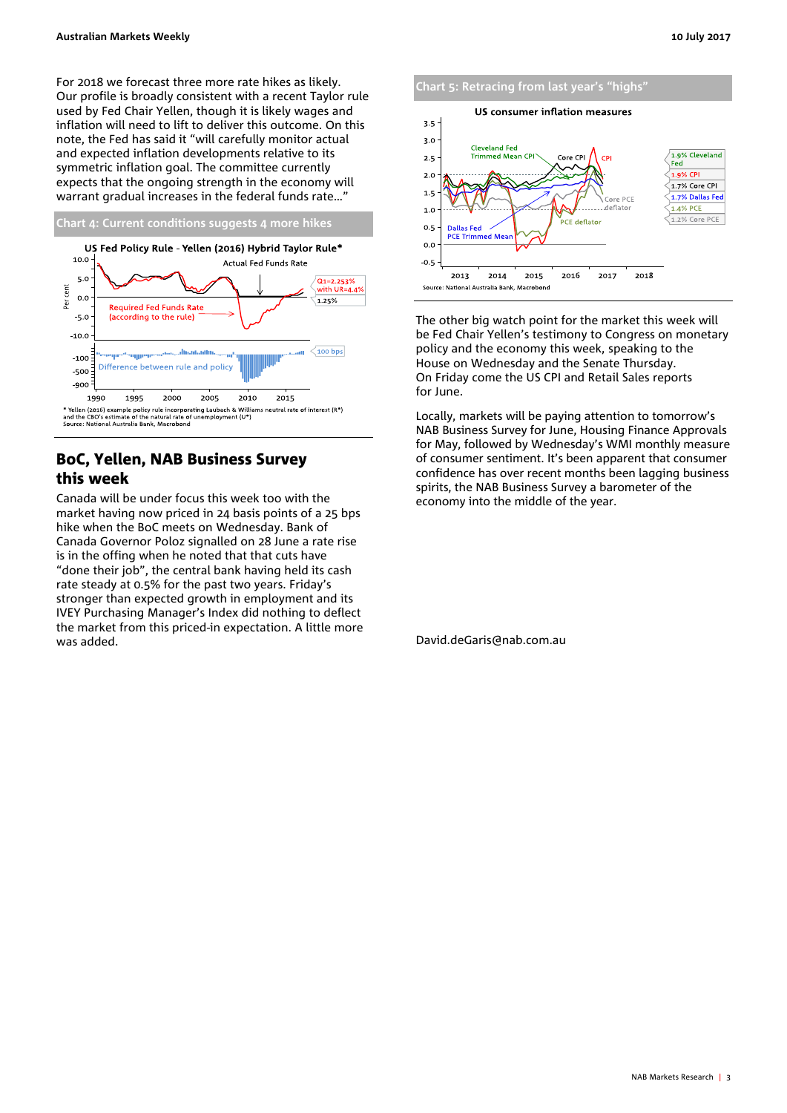For 2018 we forecast three more rate hikes as likely. Our profile is broadly consistent with a recent Taylor rule used by Fed Chair Yellen, though it is likely wages and inflation will need to lift to deliver this outcome. On this note, the Fed has said it "will carefully monitor actual and expected inflation developments relative to its symmetric inflation goal. The committee currently expects that the ongoing strength in the economy will warrant gradual increases in the federal funds rate…"



# BoC, Yellen, NAB Business Survey this week

Canada will be under focus this week too with the market having now priced in 24 basis points of a 25 bps hike when the BoC meets on Wednesday. Bank of Canada Governor Poloz signalled on 28 June a rate rise is in the offing when he noted that that cuts have "done their job", the central bank having held its cash rate steady at 0.5% for the past two years. Friday's stronger than expected growth in employment and its IVEY Purchasing Manager's Index did nothing to deflect the market from this priced-in expectation. A little more was added.



The other big watch point for the market this week will be Fed Chair Yellen's testimony to Congress on monetary policy and the economy this week, speaking to the House on Wednesday and the Senate Thursday. On Friday come the US CPI and Retail Sales reports for June.

Locally, markets will be paying attention to tomorrow's NAB Business Survey for June, Housing Finance Approvals for May, followed by Wednesday's WMI monthly measure of consumer sentiment. It's been apparent that consumer confidence has over recent months been lagging business spirits, the NAB Business Survey a barometer of the economy into the middle of the year.

David.deGaris@nab.com.au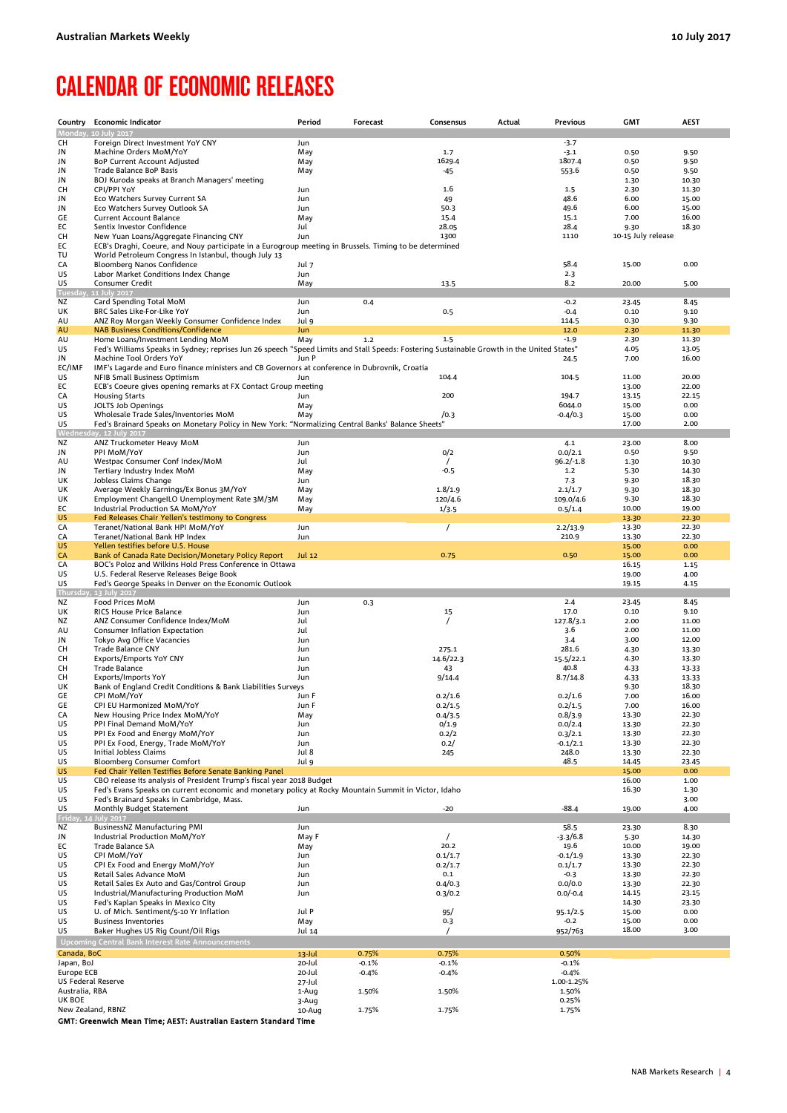# <span id="page-3-0"></span>CALENDAR OF ECONOMIC RELEASES

| Country                  | <b>Economic Indicator</b>                                                                                                                                                     | Period              | Forecast           | Consensus          | Actual | Previous              | <b>GMT</b>         | <b>AEST</b>    |
|--------------------------|-------------------------------------------------------------------------------------------------------------------------------------------------------------------------------|---------------------|--------------------|--------------------|--------|-----------------------|--------------------|----------------|
| Monday,                  | 10 July 2017                                                                                                                                                                  |                     |                    |                    |        |                       |                    |                |
| CН                       | Foreign Direct Investment YoY CNY                                                                                                                                             | Jun                 |                    |                    |        | $-3.7$                |                    |                |
| JN                       | Machine Orders MoM/YoY                                                                                                                                                        | May                 |                    | 1.7                |        | $-3.1$                | 0.50               | 9.50           |
| JN<br>JN                 | <b>BoP Current Account Adjusted</b><br>Trade Balance BoP Basis                                                                                                                | May                 |                    | 1629.4             |        | 1807.4<br>553.6       | 0.50<br>0.50       | 9.50           |
| JN                       | BOJ Kuroda speaks at Branch Managers' meeting                                                                                                                                 | May                 |                    | -45                |        |                       | 1.30               | 9.50<br>10.30  |
| CН                       | CPI/PPI YoY                                                                                                                                                                   | Jun                 |                    | 1.6                |        | 1.5                   | 2.30               | 11.30          |
| JN                       | Eco Watchers Survey Current SA                                                                                                                                                | Jun                 |                    | 49                 |        | 48.6                  | 6.00               | 15.00          |
| JN                       | Eco Watchers Survey Outlook SA                                                                                                                                                | Jun                 |                    | 50.3               |        | 49.6                  | 6.00               | 15.00          |
| GE                       | <b>Current Account Balance</b>                                                                                                                                                | May                 |                    | 15.1               | 7.00   | 16.00                 |                    |                |
| ЕC                       | Sentix Investor Confidence                                                                                                                                                    | Jul                 |                    | 28.05              |        | 28.4                  | 9.30               | 18.30          |
| CН                       | New Yuan Loans/Aggregate Financing CNY                                                                                                                                        | Jun                 |                    | 1300               |        | 1110                  | 10-15 July release |                |
| ЕC<br>TU                 | ECB's Draghi, Coeure, and Nouy participate in a Eurogroup meeting in Brussels. Timing to be determined<br>World Petroleum Congress In Istanbul, though July 13                |                     |                    |                    |        |                       |                    |                |
| CA                       | Bloomberg Nanos Confidence                                                                                                                                                    | Jul 7               |                    |                    |        | 58.4                  | 15.00              | 0.00           |
| US                       | Labor Market Conditions Index Change                                                                                                                                          | Jun                 |                    |                    |        | 2.3                   |                    |                |
| US                       | Consumer Credit                                                                                                                                                               | May                 |                    | 13.5               |        | 8.2                   | 20.00              | 5.00           |
| Tuesday,                 | 11 July 2017                                                                                                                                                                  |                     |                    |                    |        |                       |                    |                |
| ΝZ                       | Card Spending Total MoM                                                                                                                                                       | Jun                 | 0.4                |                    |        | $-0.2$                | 23.45              | 8.45           |
| UΚ                       | BRC Sales Like-For-Like YoY                                                                                                                                                   | Jun                 |                    | 0.5                |        | $-0.4$                | 0.10               | 9.10           |
| AU<br>AU                 | ANZ Roy Morgan Weekly Consumer Confidence Index<br><b>NAB Business Conditions/Confidence</b>                                                                                  | Jul 9<br><b>Jun</b> |                    |                    |        | 114.5<br>12.0         | 0.30<br>2.30       | 9.30<br>11.30  |
| AU                       | Home Loans/Investment Lending MoM                                                                                                                                             | May                 | 1.2                | 1.5                |        | $-1.9$                | 2.30               | 11.30          |
| US                       | Fed's Williams Speaks in Sydney; reprises Jun 26 speech "Speed Limits and Stall Speeds: Fostering Sustainable Growth in the United States"                                    |                     |                    |                    |        |                       | 4.05               | 13.05          |
| JN                       | Machine Tool Orders YoY                                                                                                                                                       | Jun P               |                    |                    |        | 24.5                  | 7.00               | 16.00          |
| EC/IMF                   | IMF's Lagarde and Euro finance ministers and CB Governors at conference in Dubrovnik, Croatia                                                                                 |                     |                    |                    |        |                       |                    |                |
| US                       | NFIB Small Business Optimism                                                                                                                                                  | Jun                 |                    | 104.4              |        | 104.5                 | 11.00              | 20.00          |
| ЕC                       | ECB's Coeure gives opening remarks at FX Contact Group meeting                                                                                                                |                     |                    |                    |        |                       | 13.00              | 22.00          |
| CA                       | <b>Housing Starts</b>                                                                                                                                                         | Jun                 |                    | 200                |        | 194.7<br>6044.0       | 13.15              | 22.15          |
| US<br>US                 | JOLTS Job Openings<br>Wholesale Trade Sales/Inventories MoM                                                                                                                   | May<br>May          |                    | /0.3               |        | $-0.4/0.3$            | 15.00<br>15.00     | 0.00<br>0.00   |
| US                       | "Fed's Brainard Speaks on Monetary Policy in New York: "Normalizing Central Banks' Balance Sheets                                                                             |                     |                    |                    |        |                       | 17.00              | 2.00           |
|                          | Wednesday, 12 July 2017                                                                                                                                                       |                     |                    |                    |        |                       |                    |                |
| ΝZ                       | ANZ Truckometer Heavy MoM                                                                                                                                                     | Jun                 |                    |                    |        | 4.1                   | 23.00              | 8.00           |
| JN                       | PPI MoM/YoY                                                                                                                                                                   | Jun                 |                    | 0/2                |        | 0.0/2.1               | 0.50               | 9.50           |
| AU                       | Westpac Consumer Conf Index/MoM                                                                                                                                               | Jul                 |                    |                    |        | $96.2/-1.8$           | 1.30               | 10.30          |
| JN<br>UK                 | Tertiary Industry Index MoM<br>Jobless Claims Change                                                                                                                          | May<br>Jun          |                    | $-0.5$             |        | $1.2$<br>7.3          | 5.30<br>9.30       | 14.30<br>18.30 |
| UK                       | Average Weekly Earnings/Ex Bonus 3M/YoY                                                                                                                                       | May                 |                    | 1.8/1.9            |        | 2.1/1.7               | 9.30               | 18.30          |
| UK                       | Employment ChangeILO Unemployment Rate 3M/3M                                                                                                                                  | May                 |                    | 120/4.6            |        | 109.0/4.6             | 9.30               | 18.30          |
| EС                       | Industrial Production SA MoM/YoY                                                                                                                                              | May                 |                    | 1/3.5              |        | 0.5/1.4               | 10.00              | 19.00          |
| US                       | Fed Releases Chair Yellen's testimony to Congress                                                                                                                             |                     |                    |                    |        |                       | 13.30              | 22.30          |
| CA                       | Teranet/National Bank HPI MoM/YoY                                                                                                                                             | Jun                 |                    | $\prime$           |        | 2.2/13.9              | 13.30              | 22.30          |
| CA                       | Teranet/National Bank HP Index                                                                                                                                                | Jun                 |                    |                    |        | 210.9                 | 13.30              | 22.30          |
| US                       | Yellen testifies before U.S. House                                                                                                                                            |                     |                    |                    |        |                       | 15.00              | 0.00           |
| CA<br>CA                 | Bank of Canada Rate Decision/Monetary Policy Report<br>BOC's Poloz and Wilkins Hold Press Conference in Ottawa                                                                | <b>Jul 12</b>       |                    | 0.75               |        | 0.50                  | 15.00<br>16.15     | 0.00<br>1.15   |
| US                       | U.S. Federal Reserve Releases Beige Book                                                                                                                                      |                     |                    |                    |        |                       | 19.00              | 4.00           |
| US                       | Fed's George Speaks in Denver on the Economic Outlook                                                                                                                         |                     |                    |                    |        |                       | 19.15              | 4.15           |
| Thursday                 | v. 13 July 2017                                                                                                                                                               |                     |                    |                    |        |                       |                    |                |
| ΝZ                       | Food Prices MoM                                                                                                                                                               | Jun                 | 0.3                |                    |        | 2.4                   | 23.45              | 8.45           |
| UK                       | <b>RICS House Price Balance</b>                                                                                                                                               | Jun                 |                    | 15                 |        | 17.0                  | 0.10               | 9.10           |
| ΝZ                       | ANZ Consumer Confidence Index/MoM<br>Consumer Inflation Expectation                                                                                                           | Jul<br>Jul          |                    | $\prime$           |        | 127.8/3.1<br>3.6      | 2.00<br>2.00       | 11.00<br>11.00 |
| AU<br>JN                 | Tokyo Avg Office Vacancies                                                                                                                                                    | Jun                 |                    |                    |        | 3.4                   | 3.00               | 12.00          |
| CН                       | Trade Balance CNY                                                                                                                                                             | Jun                 |                    | 275.1              |        | 281.6                 | 4.30               | 13.30          |
| CН                       | Exports/Emports YoY CNY                                                                                                                                                       | Jun                 |                    | 14.6/22.3          |        | 15.5/22.1             | 4.30               | 13.30          |
| CН                       | <b>Trade Balance</b>                                                                                                                                                          | Jun                 |                    | 43                 |        | 40.8                  | 4.33               | 13.33          |
| CН                       | Exports/Imports YoY                                                                                                                                                           | Jun                 |                    | 9/14.4             |        | 8.7/14.8              | 4.33               | 13.33          |
| UK                       | Bank of England Credit Conditions & Bank Liabilities Surveys                                                                                                                  |                     |                    |                    |        |                       | 9.30               | 18.30          |
| GE                       | CPI MoM/YoY                                                                                                                                                                   | Jun F               |                    | 0.2/1.6            |        | 0.2/1.6               | 7.00               | 16.00          |
| GE                       | CPI EU Harmonized MoM/YoY<br>New Housing Price Index MoM/YoY                                                                                                                  | Jun F               |                    | 0.2/1.5            |        | 0.2/1.5               | 7.00               | 16.00          |
| CA<br>US                 | PPI Final Demand MoM/YoY                                                                                                                                                      | May<br>Jun          |                    | 0.4/3.5<br>0/1.9   |        | 0.8/3.9<br>0.0/2.4    | 13.30<br>13.30     | 22.30<br>22.30 |
| US                       | PPI Ex Food and Energy MoM/YoY                                                                                                                                                | Jun                 |                    | 0.2/2              |        | 0.3/2.1               | 13.30              | 22.30          |
| US                       | PPI Ex Food, Energy, Trade MoM/YoY                                                                                                                                            | Jun                 |                    | 0.2/               |        | $-0.1/2.1$            | 13.30              | 22.30          |
| US                       | Initial Jobless Claims                                                                                                                                                        | Jul 8               |                    | 245                |        | 248.0                 | 13.30              | 22.30          |
| US                       | Bloomberg Consumer Comfort                                                                                                                                                    | Jul 9               |                    |                    |        | 48.5                  | 14.45              | 23.45          |
| US                       | Fed Chair Yellen Testifies Before Senate Banking Panel                                                                                                                        |                     |                    |                    |        |                       | 15.00              | 0.00           |
| US<br>US                 | CBO release its analysis of President Trump's fiscal year 2018 Budget<br>Fed's Evans Speaks on current economic and monetary policy at Rocky Mountain Summit in Victor, Idaho |                     |                    |                    |        |                       | 16.00<br>16.30     | 1.00<br>1.30   |
| US                       | Fed's Brainard Speaks in Cambridge, Mass.                                                                                                                                     |                     |                    |                    |        |                       |                    | 3.00           |
| US                       | Monthly Budget Statement                                                                                                                                                      | Jun                 |                    | -20                |        | $-88.4$               | 19.00              | 4.00           |
| Friday, 1                | 4 July 2017                                                                                                                                                                   |                     |                    |                    |        |                       |                    |                |
| ΝZ                       | BusinessNZ Manufacturing PMI                                                                                                                                                  | Jun                 |                    |                    |        | 58.5                  | 23.30              | 8.30           |
| JN                       | Industrial Production MoM/YoY                                                                                                                                                 | May F               |                    | $\prime$           |        | -3.3/6.8              | 5.30               | 14.30          |
| EС                       | Trade Balance SA                                                                                                                                                              | May                 |                    | 20.2               |        | 19.6                  | 10.00              | 19.00          |
| US<br>US                 | CPI MoM/YoY<br>CPI Ex Food and Energy MoM/YoY                                                                                                                                 | Jun<br>Jun          |                    | 0.1/1.7<br>0.2/1.7 |        | $-0.1/1.9$<br>0.1/1.7 | 13.30<br>13.30     | 22.30<br>22.30 |
| US                       | Retail Sales Advance MoM                                                                                                                                                      | Jun                 |                    | 0.1                |        | $-0.3$                | 13.30              | 22.30          |
| US                       | Retail Sales Ex Auto and Gas/Control Group                                                                                                                                    | Jun                 |                    | 0.4/0.3            |        | 0.0/0.0               | 13.30              | 22.30          |
| US                       | Industrial/Manufacturing Production MoM                                                                                                                                       | Jun                 |                    | 0.3/0.2            |        | $0.0/-0.4$            | 14.15              | 23.15          |
| US                       | Fed's Kaplan Speaks in Mexico City                                                                                                                                            |                     |                    |                    |        |                       | 14.30              | 23.30          |
| US                       | U. of Mich. Sentiment/5-10 Yr Inflation                                                                                                                                       | Jul P               |                    | 95/                |        | 95.1/2.5              | 15.00              | 0.00           |
| US                       | <b>Business Inventories</b>                                                                                                                                                   | May                 |                    | 0.3                |        | $-0.2$                | 15.00              | 0.00           |
| US                       | Baker Hughes US Rig Count/Oil Rigs                                                                                                                                            | Jul 14              |                    | $\prime$           |        | 952/763               | 18.00              | 3.00           |
|                          | <b>Upcoming Central Bank Interest Rate Announcements</b>                                                                                                                      |                     |                    |                    |        |                       |                    |                |
| Canada, BoC              |                                                                                                                                                                               | 13-Jul              | 0.75%              | 0.75%              |        | 0.50%                 |                    |                |
| Japan, BoJ<br>Europe ECB |                                                                                                                                                                               | 20-Jul<br>20-Jul    | $-0.1%$<br>$-0.4%$ | $-0.1%$<br>$-0.4%$ |        | $-0.1%$<br>-0.4%      |                    |                |
| US Federal Reserve       |                                                                                                                                                                               | 27-Jul              |                    |                    |        | 1.00-1.25%            |                    |                |
| Australia, RBA           |                                                                                                                                                                               | 1-Aug               | 1.50%              | 1.50%              |        | 1.50%                 |                    |                |
| UK BOE                   |                                                                                                                                                                               | 3-Aug               |                    |                    |        | 0.25%                 |                    |                |
| New Zealand, RBNZ        |                                                                                                                                                                               | 10-Aug              | 1.75%              | 1.75%              |        | 1.75%                 |                    |                |
|                          | GMT: Greenwich Mean Time; AEST: Australian Eastern Standard Time                                                                                                              |                     |                    |                    |        |                       |                    |                |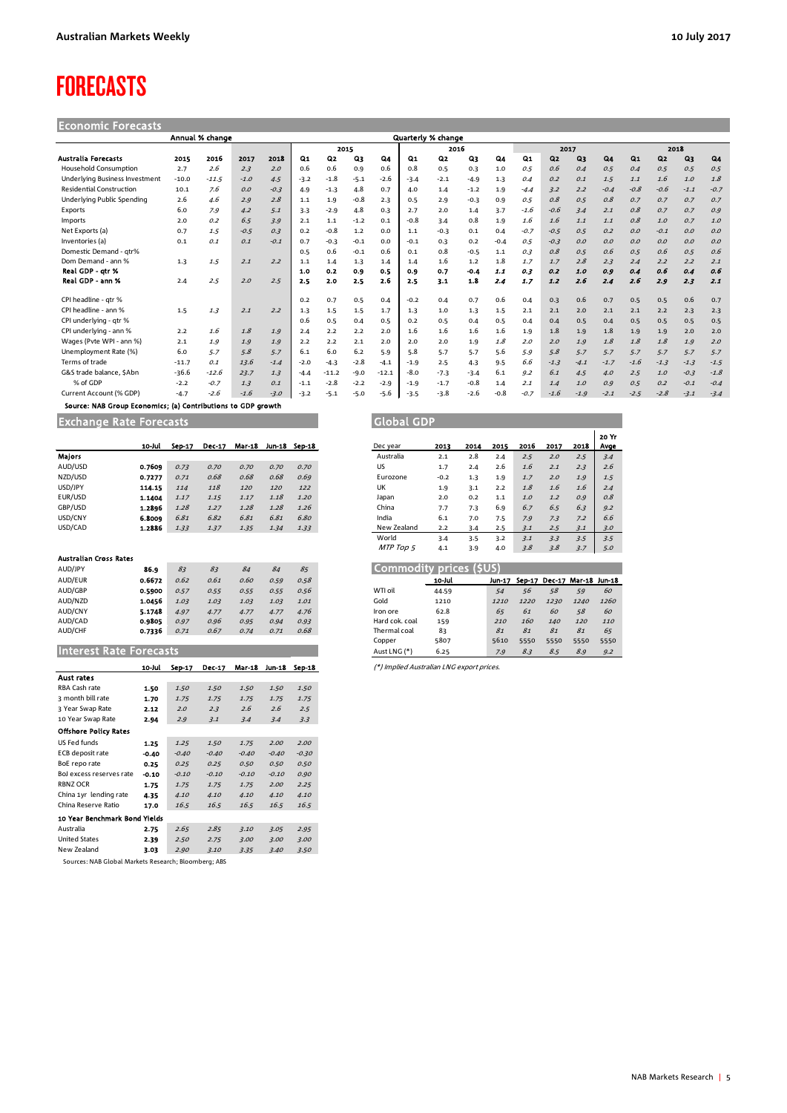# <span id="page-4-0"></span>FORECASTS

Economic Forecasts

|                                       |         | Annual % change |        |        |        |         |        |           |        | Quarterly % change |        |        |                |        |        |        |                |                |        |           |
|---------------------------------------|---------|-----------------|--------|--------|--------|---------|--------|-----------|--------|--------------------|--------|--------|----------------|--------|--------|--------|----------------|----------------|--------|-----------|
|                                       |         |                 |        |        |        | 2015    |        |           |        | 2016               |        |        |                | 2017   |        |        |                | 2018           |        |           |
| Australia Forecasts                   | 2015    | 2016            | 2017   | 2018   | Q1     | Q2      | Qз     | <b>Q4</b> | Q1     | Q2                 | Q3     | Q4     | Q <sub>1</sub> | Q2     | Q3     | $Q_4$  | Q <sub>1</sub> | Q <sub>2</sub> | $Q_3$  | <b>Q4</b> |
| <b>Household Consumption</b>          | 2.7     | 2.6             | 2.3    | 2.0    | 0.6    | 0.6     | 0.9    | 0.6       | 0.8    | 0.5                | 0.3    | 1.0    | 0.5            | 0.6    | 0.4    | 0.5    | 0.4            | 0.5            | 0.5    | 0.5       |
| <b>Underlying Business Investment</b> | $-10.0$ | $-11.5$         | $-1.0$ | 4.5    | $-3.2$ | $-1.8$  | $-5.1$ | $-2.6$    | $-3.4$ | $-2.1$             | $-4.9$ | 1.3    | 0.4            | O.2    | O.1    | 1.5    | 1.1            | 1.6            | 1.0    | 1.8       |
| <b>Residential Construction</b>       | 10.1    | 7.6             | O.O    | $-0.3$ | 4.9    | $-1.3$  | 4.8    | 0.7       | 4.0    | 1.4                | $-1.2$ | 1.9    | $-4.4$         | 3.2    | 2.2    | $-0.4$ | $-0.8$         | $-0.6$         | $-1.1$ | $-0.7$    |
| Underlying Public Spending            | 2.6     | 4.6             | 2.9    | 2.8    | 1.1    | 1.9     | $-0.8$ | 2.3       | 0.5    | 2.9                | $-0.3$ | 0.9    | 0.5            | 0.8    | 0.5    | 0.8    | 0.7            | 0.7            | 0.7    | 0.7       |
| Exports                               | 6.0     | 7.9             | 4.2    | 5.1    | 3.3    | $-2.9$  | 4.8    | 0.3       | 2.7    | 2.0                | 1.4    | 3.7    | $-1.6$         | $-0.6$ | 3.4    | 2.1    | 0.8            | 0.7            | 0.7    | 0.9       |
| Imports                               | 2.0     | 0.2             | 6.5    | 3.9    | 2.1    | $1.1\,$ | $-1.2$ | 0.1       | $-0.8$ | 3.4                | 0.8    | 1.9    | 1.6            | 1.6    | 1.1    | 1.1    | 0.8            | 1.0            | 0.7    | 1.0       |
| Net Exports (a)                       | 0.7     | 1.5             | $-0.5$ | 0.3    | 0.2    | $-0.8$  | 1.2    | 0.0       | 1.1    | $-0.3$             | 0.1    | 0.4    | $-0.7$         | $-0.5$ | 0.5    | O.2    | O.O            | $-0.1$         | O.O    | O.O       |
| Inventories (a)                       | 0.1     | 0.1             | 0.1    | $-0.1$ | 0.7    | $-0.3$  | $-0.1$ | 0.0       | $-0.1$ | 0.3                | 0.2    | $-0.4$ | 0.5            | $-0.3$ | O.O    | O.O    | O.O            | O.O            | O.O    | O.O       |
| Domestic Demand - atr%                |         |                 |        |        | 0.5    | 0.6     | $-0.1$ | 0.6       | 0.1    | 0.8                | $-0.5$ | 1.1    | 0.3            | 0.8    | 0.5    | 0.6    | 0.5            | 0.6            | 0.5    | 0.6       |
| Dom Demand - ann %                    | 1.3     | 1.5             | 2.1    | 2.2    | 1.1    | 1.4     | 1.3    | 1.4       | 1.4    | 1.6                | 1.2    | 1.8    | 1.7            | 1.7    | 2.8    | 2.3    | 2.4            | 2.2            | 2.2    | 2.1       |
| Real GDP - gtr %                      |         |                 |        |        | 1.0    | 0.2     | 0.9    | 0.5       | 0.9    | 0.7                | $-0.4$ | 1.1    | 0.3            | 0.2    | 1.0    | 0.9    | 0.4            | 0.6            | 0.4    | 0.6       |
| Real GDP - ann %                      | 2.4     | 2.5             | 2.0    | 2.5    | 2.5    | 2.0     | 2.5    | 2.6       | 2.5    | 3.1                | 1.8    | 2.4    | 1.7            | 1.2    | 2.6    | 2.4    | 2.6            | 2.9            | 2.3    | 2.1       |
| CPI headline - atr %                  |         |                 |        |        | 0.2    | 0.7     | 0.5    | 0.4       | $-0.2$ | 0.4                | 0.7    | 0.6    | 0.4            | 0.3    | 0.6    | 0.7    | 0.5            | 0.5            | 0.6    | 0.7       |
| CPI headline - ann %                  | 1.5     | 1.3             | 2.1    | 2.2    | 1.3    | 1.5     | 1.5    | 1.7       | 1.3    | 1.0                | 1.3    | 1.5    | 2.1            | 2.1    | 2.0    | 2.1    | 2.1            | 2.2            | 2.3    | 2.3       |
| CPI underlying - gtr %                |         |                 |        |        | 0.6    | 0.5     | 0.4    | 0.5       | 0.2    | 0.5                | 0.4    | 0.5    | 0.4            | 0.4    | 0.5    | 0.4    | 0.5            | 0.5            | 0.5    | 0.5       |
| CPI underlying - ann %                | 2.2     | 1.6             | 1.8    | 1.9    | 2.4    | 2.2     | 2.2    | 2.0       | 1.6    | 1.6                | 1.6    | 1.6    | 1.9            | 1.8    | 1.9    | 1.8    | 1.9            | 1.9            | 2.0    | 2.0       |
| Wages (Pvte WPI - ann %)              | 2.1     | 1.9             | 1.9    | 1.9    | 2.2    | 2.2     | 2.1    | 2.0       | 2.0    | 2.0                | 1.9    | 1.8    | 2.0            | 2.0    | 1.9    | 1.8    | 1.8            | 1.8            | 1.9    | 2.0       |
| Unemployment Rate (%)                 | 6.0     | 5.7             | 5.8    | 5.7    | 6.1    | 6.0     | 6.2    | 5.9       | 5.8    | 5.7                | 5.7    | 5.6    | 5.9            | 5.8    | 5.7    | 5.7    | 5.7            | 5.7            | 5.7    | 5.7       |
| Terms of trade                        | $-11.7$ | 0.1             | 13.6   | $-1.4$ | $-2.0$ | $-4.3$  | $-2.8$ | $-4.1$    | $-1.9$ | 2.5                | 4.3    | 9.5    | 6.6            | $-1.3$ | $-4.1$ | $-1.7$ | $-1.6$         | $-1.3$         | $-1.3$ | $-1.5$    |
| G&S trade balance, SAbn               | $-36.6$ | $-12.6$         | 23.7   | 1.3    | $-4.4$ | $-11.2$ | $-9.0$ | $-12.1$   | $-8.0$ | $-7.3$             | $-3.4$ | 6.1    | 9.2            | 6.1    | 4.5    | 4.0    | 2.5            | 1.0            | $-0.3$ | $-1.8$    |
| % of GDP                              | $-2.2$  | $-0.7$          | 1.3    | 0.1    | $-1.1$ | $-2.8$  | $-2.2$ | $-2.9$    | $-1.9$ | $-1.7$             | $-0.8$ | 1.4    | 2.1            | 1.4    | 1.0    | O.G    | 0.5            | 0.2            | $-0.1$ | $-0.4$    |
| Current Account (% GDP)               | $-4.7$  | $-2.6$          | $-1.6$ | $-3.0$ | $-3.2$ | $-5.1$  | $-5.0$ | $-5.6$    | $-3.5$ | $-3.8$             | $-2.6$ | $-0.8$ | $-0.7$         | $-1.6$ | $-1.9$ | $-2.1$ | $-2.5$         | $-2.8$         | $-3.1$ | $-3.4$    |

Source: NAB Group Economics; (a) Contributions to GDP growth

Exchange Rate Forecasts Global GDP Global GDP

|                                | 10-Jul | Sep-17 | Dec-17 | Mar-18 |      | Jun-18 Sep-18 |
|--------------------------------|--------|--------|--------|--------|------|---------------|
| <b>Majors</b>                  |        |        |        |        |      |               |
| AUD/USD                        | 0.7609 | 0.73   | 0.70   | 0.70   | 0.70 | 0.70          |
| NZD/USD                        | 0.7277 | 0.71   | 0.68   | 0.68   | 0.68 | 0.69          |
| USD/JPY                        | 114.15 | 114    | 118    | 120    | 120  | 122           |
| EUR/USD                        | 1.1404 | 1.17   | 1.15   | 1.17   | 1.18 | 1.20          |
| GBP/USD                        | 1.2896 | 1.28   | 1.27   | 1.28   | 1.28 | 1.26          |
| USD/CNY                        | 6.8009 | 6.81   | 6.82   | 6.81   | 6.81 | 6.80          |
| USD/CAD                        | 1.2886 | 1.33   | 1.37   | 1.35   | 1.34 | 1.33          |
|                                |        |        |        |        |      |               |
|                                |        |        |        |        |      |               |
| <b>Australian Cross Rates</b>  |        |        |        |        |      |               |
| AUD/JPY                        | 86.9   | 83     | 83     | 84     | 84   | 85            |
| AUD/EUR                        | 0.6672 | 0.62   | 0.61   | 0.60   | 0.59 | 0.58          |
| AUD/GBP                        | 0.5900 | 0.57   | 0.55   | 0.55   | 0.55 | 0.56          |
| AUD/NZD                        | 1.0456 | 1.03   | 1.03   | 1.03   | 1.03 | 1.01          |
| AUD/CNY                        | 5.1748 | 4.97   | 4.77   | 4.77   | 4.77 | 4.76          |
| AUD/CAD                        | 0.9805 | 0.97   | 0.96   | 0.95   | 0.94 | 0.93          |
| AUD/CHF                        | 0.7336 | 0.71   | 0.67   | 0.74   | 0.71 | 0.68          |
|                                |        |        |        |        |      |               |
| <b>Interest Rate Forecasts</b> |        |        |        |        |      |               |
|                                | 10-Jul | Sep-17 | Dec-17 | Mar-18 |      | Jun-18 Sep-18 |
| <b>Aust rates</b>              |        |        |        |        |      |               |
| RBA Cash rate                  | 1.50   | 1.50   | 1.50   | 1.50   | 1.50 | 1.50          |
| 3 month bill rate              | 1.70   | 1.75   | 1.75   | 1.75   | 1.75 | 1.75          |

| 3 Year Swap Rate              | 2.12    | 2.0     | 2.3     | 2.6     | 2.6     | 2.5     |
|-------------------------------|---------|---------|---------|---------|---------|---------|
| 10 Year Swap Rate             | 2.94    | 2.9     | 3.1     | 3.4     | 3.4     | 3.3     |
| <b>Offshore Policy Rates</b>  |         |         |         |         |         |         |
| US Fed funds                  | 1.25    | 1.25    | 1.50    | 1.75    | 2.00    | 2.00    |
| ECB deposit rate              | $-0.40$ | $-0.40$ | $-0.40$ | $-0.40$ | $-0.40$ | $-0.30$ |
| BoE repo rate                 | 0.25    | 0.25    | 0.25    | 0.50    | 0.50    | 0.50    |
| Bol excess reserves rate      | $-0.10$ | $-0.10$ | $-0.10$ | $-0.10$ | $-0.10$ | 0.90    |
| <b>RBNZ OCR</b>               | 1.75    | 1.75    | 1.75    | 1.75    | 2.00    | 2.25    |
| China 1yr lending rate        | 4.35    | 4.10    | 4.10    | 4.10    | 4.10    | 4.10    |
| China Reserve Ratio           | 17.0    | 16.5    | 16.5    | 16.5    | 16.5    | 16.5    |
| 10 Year Benchmark Bond Yields |         |         |         |         |         |         |
| Australia                     | 2.75    | 2.65    | 2.85    | 3.10    | 3.05    | 2.95    |
| <b>United States</b>          | 2.39    | 2.50    | 2.75    | 3.00    | 3.00    | 3.00    |
| New Zealand                   | 3.03    | 2.90    | 3.10    | 3.35    | 3.40    | 3.50    |

Sources: NAB Global Markets Research; Bloomberg; ABS

|        |        |        |               |      |               |             |        |      |      |      |      |      | 20 Yr |
|--------|--------|--------|---------------|------|---------------|-------------|--------|------|------|------|------|------|-------|
| 10-Jul | Sep 17 | Dec-17 | <b>Mar-18</b> |      | Jun-18 Sep-18 | Dec year    | 2013   | 2014 | 2015 | 2016 | 2017 | 2018 | Avge  |
|        |        |        |               |      |               | Australia   | 2.1    | 2.8  | 2.4  | 2.5  | 2.0  | 2.5  | 3.4   |
| 0.7609 | 0.73   | 0.70   | 0.70          | 0.70 | 0.70          | US          | 1.7    | 2.4  | 2.6  | 1.6  | 2.1  | 2.3  | 2.6   |
| ).7277 | 0.71   | 0.68   | 0.68          | 0.68 | 0.69          | Eurozone    | $-0.2$ | 1.3  | 1.9  | 1.7  | 2.0  | 1.9  | 1.5   |
| 14.15  | 114    | 118    | 120           | 120  | 122           | UK          | 1.9    | 3.1  | 2.2  | 1.8  | 1.6  | 1.6  | 2.4   |
| .1404  | 1.17   | 1.15   | 1.17          | 1.18 | 1.20          | Japan       | 2.0    | 0.2  | 1.1  | 1.0  | 1.2  | 0.9  | 0.8   |
| .2896  | 1.28   | 1.27   | 1.28          | 1.28 | 1.26          | China       | 7.7    | 7.3  | 6.9  | 6.7  | 6.5  | 6.3  | 9.2   |
| 5.8009 | 6.81   | 6.82   | 6.81          | 6.81 | 6.80          | India       | 6.1    | 7.0  | 7.5  | 7.9  | 7.3  | 7.2  | 6.6   |
| .2886  | 1.33   | 1.37   | 1.35          | 1.34 | 1.33          | New Zealand | 2.2    | 3.4  | 2.5  | 3.1  | 2.5  | 3.1  | 3.0   |
|        |        |        |               |      |               | World       | 3.4    | 3.5  | 3.2  | 3.1  | 3.3  | 3.5  | 3.5   |
|        |        |        |               |      |               | MTP Top 5   | 4.1    | 3.9  | 4.0  | 3.8  | 3.8  | 3.7  | 5.0   |
|        |        |        |               |      |               |             |        |      |      |      |      |      |       |

|                               | Commodity prices (SUS) |                |                |                |                                    |               |
|-------------------------------|------------------------|----------------|----------------|----------------|------------------------------------|---------------|
|                               | 10-Jul                 |                |                |                | Jun-17 Sep-17 Dec-17 Mar-18 Jun-18 |               |
| WTI oil                       | 44.59                  | 54             | 56             | 58             | 59                                 | 60            |
| Gold                          | 1210                   | 1210           | 1220           | 1230           | 1240                               | 1260          |
| Iron ore                      | 62.8                   | 65             | 61             | 60             | 58                                 | 60            |
| Hard cok. coal                | 159                    | 210            | 160            | 140            | 120                                | 110           |
| Thermal coal                  | 83                     | 81             | 81             | 81             | 81                                 | 65            |
| Copper                        | 5807                   | 5610           | 5550           | 5550           | 5550                               | 5550          |
| $A \cdot t + I M C$ $\{ * \}$ | $C \rightarrow C$      | $\overline{z}$ | O <sub>2</sub> | O <sub>r</sub> | $\mathcal{O}$ $\Omega$             | $\sim$ $\sim$ |